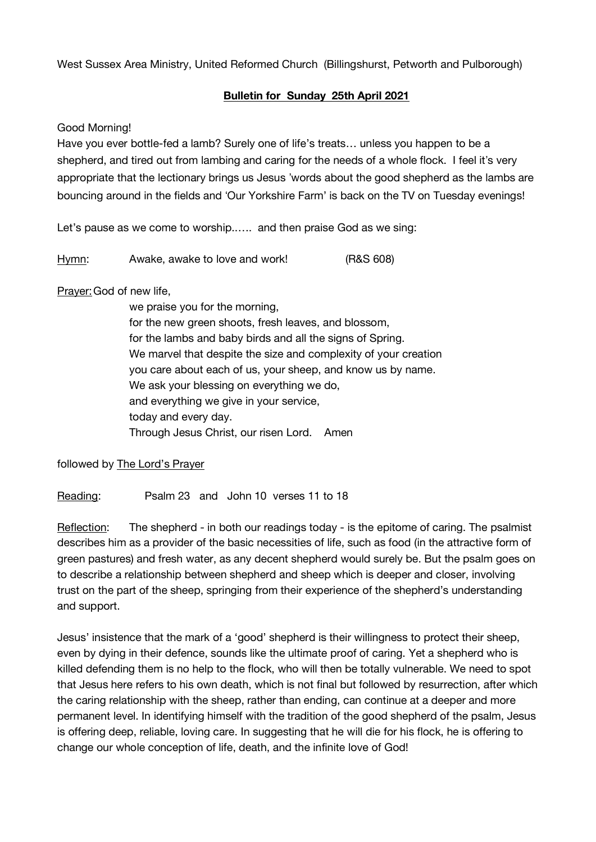West Sussex Area Ministry, United Reformed Church (Billingshurst, Petworth and Pulborough)

## **Bulletin for Sunday 25th April 2021**

## Good Morning!

Have you ever bottle-fed a lamb? Surely one of life's treats… unless you happen to be a shepherd, and tired out from lambing and caring for the needs of a whole flock. I feel it's very appropriate that the lectionary brings us Jesus 'words about the good shepherd as the lambs are bouncing around in the fields and 'Our Yorkshire Farm' is back on the TV on Tuesday evenings!

Let's pause as we come to worship..…. and then praise God as we sing:

Hymn: Awake, awake to love and work! (R&S 608)

Prayer:God of new life,

we praise you for the morning, for the new green shoots, fresh leaves, and blossom, for the lambs and baby birds and all the signs of Spring. We marvel that despite the size and complexity of your creation you care about each of us, your sheep, and know us by name. We ask your blessing on everything we do, and everything we give in your service, today and every day. Through Jesus Christ, our risen Lord. Amen

followed by The Lord's Prayer

Reading: Psalm 23 and John 10 verses 11 to 18

Reflection: The shepherd - in both our readings today - is the epitome of caring. The psalmist describes him as a provider of the basic necessities of life, such as food (in the attractive form of green pastures) and fresh water, as any decent shepherd would surely be. But the psalm goes on to describe a relationship between shepherd and sheep which is deeper and closer, involving trust on the part of the sheep, springing from their experience of the shepherd's understanding and support.

Jesus' insistence that the mark of a 'good' shepherd is their willingness to protect their sheep, even by dying in their defence, sounds like the ultimate proof of caring. Yet a shepherd who is killed defending them is no help to the flock, who will then be totally vulnerable. We need to spot that Jesus here refers to his own death, which is not final but followed by resurrection, after which the caring relationship with the sheep, rather than ending, can continue at a deeper and more permanent level. In identifying himself with the tradition of the good shepherd of the psalm, Jesus is offering deep, reliable, loving care. In suggesting that he will die for his flock, he is offering to change our whole conception of life, death, and the infinite love of God!